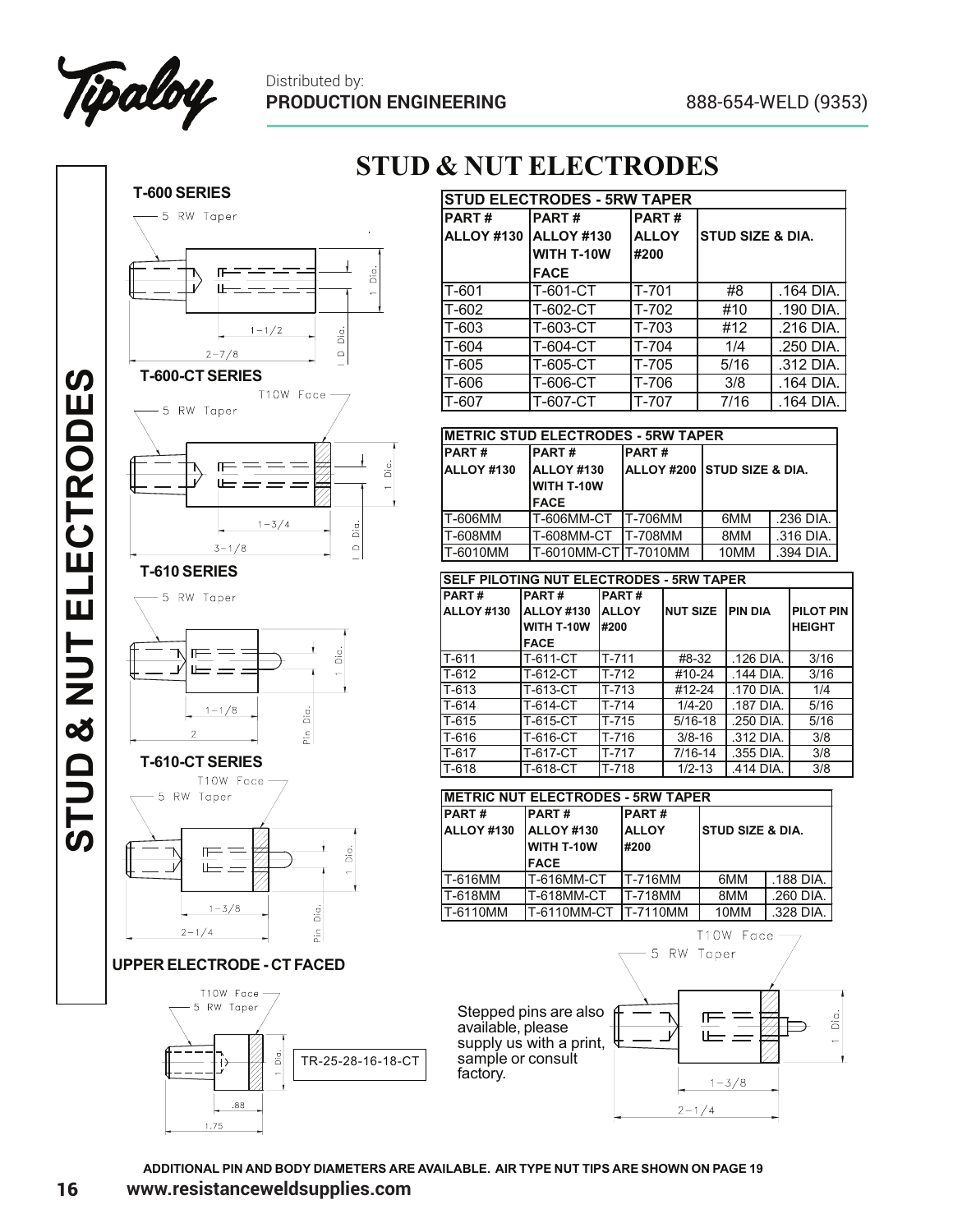



 $1.75$ 

## **STUD & NUT ELECTRODES**

| <b>STUD ELECTRODES - 5RW TAPER</b> |              |              |                             |           |  |
|------------------------------------|--------------|--------------|-----------------------------|-----------|--|
| <b>PART#</b>                       | <b>PART#</b> | <b>PART#</b> |                             |           |  |
| <b>ALLOY #130</b>                  | ALLOY #130   | <b>ALLOY</b> | <b>STUD SIZE &amp; DIA.</b> |           |  |
|                                    | WITH T-10W   | #200         |                             |           |  |
|                                    | <b>FACE</b>  |              |                             |           |  |
| $T-601$                            | T-601-CT     | T-701        | #8                          | .164 DIA. |  |
| T-602                              | T-602-CT     | T-702        | #10                         | .190 DIA. |  |
| T-603                              | T-603-CT     | T-703        | #12                         | .216 DIA. |  |
| T-604                              | T-604-CT     | $T-704$      | 1/4                         | .250 DIA. |  |
| T-605                              | T-605-CT     | $T-705$      | 5/16                        | .312 DIA. |  |
| T-606                              | T-606-CT     | T-706        | 3/8                         | .164 DIA. |  |
| T-607                              | T-607-CT     | T-707        | 7/16                        | .164 DIA. |  |

| <b>IMETRIC STUD ELECTRODES - 5RW TAPER</b> |                      |                                        |      |           |  |
|--------------------------------------------|----------------------|----------------------------------------|------|-----------|--|
| <b>PART#</b>                               | <b>PART#</b>         | <b>PART#</b>                           |      |           |  |
| ALLOY #130                                 | <b>ALLOY #130</b>    | <b>ALLOY #200 STUD SIZE &amp; DIA.</b> |      |           |  |
|                                            | WITH T-10W           |                                        |      |           |  |
|                                            | <b>FACE</b>          |                                        |      |           |  |
| T-606MM                                    | IT-606MM-CT IT-706MM |                                        | 6MM  | .236 DIA. |  |
| T-608MM                                    | T-608MM-CT T-708MM   |                                        | 8MM  | .316 DIA. |  |
| T-6010MM                                   | T-6010MM-CT T-7010MM |                                        | 10MM | .394 DIA. |  |

| <b>SELF PILOTING NUT ELECTRODES - 5RW TAPER</b> |              |              |                 |           |                  |  |
|-------------------------------------------------|--------------|--------------|-----------------|-----------|------------------|--|
| PART#                                           | <b>PART#</b> | <b>PART#</b> |                 |           |                  |  |
| <b>ALLOY #130</b>                               | ALLOY #130   | <b>ALLOY</b> | <b>NUT SIZE</b> | IPIN DIA  | <b>PILOT PIN</b> |  |
|                                                 | WITH T-10W   | #200         |                 |           | <b>HEIGHT</b>    |  |
|                                                 | <b>FACE</b>  |              |                 |           |                  |  |
| T-611                                           | T-611-CT     | T-711        | #8-32           | .126 DIA. | 3/16             |  |
| $T-612$                                         | T-612-CT     | $T-712$      | #10-24          | .144 DIA. | 3/16             |  |
| $T - 613$                                       | T-613-CT     | $T-713$      | #12-24          | .170 DIA. | 1/4              |  |
| $T-614$                                         | T-614-CT     | $T-714$      | $1/4 - 20$      | .187 DIA. | 5/16             |  |
| T-615                                           | T-615-CT     | T-715        | $5/16 - 18$     | .250 DIA. | 5/16             |  |
| T-616                                           | T-616-CT     | $T-716$      | $3/8 - 16$      | .312 DIA. | 3/8              |  |
| T-617                                           | T-617-CT     | T-717        | 7/16-14         | .355 DIA. | 3/8              |  |
| T-618                                           | T-618-CT     | $T-718$      | $1/2 - 13$      | .414 DIA. | 3/8              |  |

| IMETRIC NUT ELECTRODES - 5RW TAPER |                                                         |                                       |                             |           |  |
|------------------------------------|---------------------------------------------------------|---------------------------------------|-----------------------------|-----------|--|
| <b>PART#</b><br><b>ALLOY #130</b>  | <b>PART#</b><br>ALLOY #130<br>WITH T-10W<br><b>FACE</b> | IPART#<br><b>ALLOY</b><br><b>#200</b> | <b>STUD SIZE &amp; DIA.</b> |           |  |
| T-616MM                            | T-616MM-CT                                              | <b>T-716MM</b>                        | 6MM                         | .188 DIA. |  |
| T-618MM                            | T-618MM-CT                                              | <b>T-718MM</b>                        | 8MM                         | .260 DIA. |  |
| T-6110MM                           | T-6110MM-CT                                             | <b>IT-7110MM</b>                      | 10MM                        | .328 DIA. |  |



**ADDITIONAL PIN AND BODY DIAMETERS ARE AVAILABLE. AIR TYPE NUT TIPS ARE SHOWN ON PAGE 19 www.resistanceweldsupplies.com**